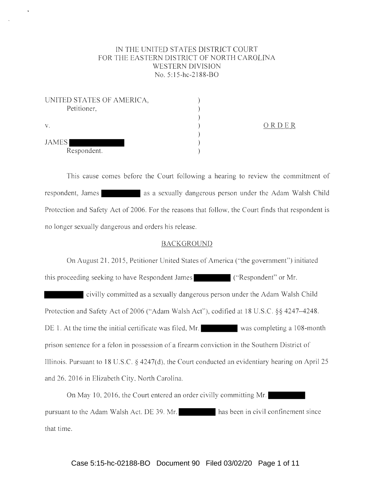# IN THE UNITED STATES DISTRICT COURT FOR THE EASTERN DISTRICT OF NORTH CAROLINA WESTERN DIVISION No. 5:15-hc-2188-BO

| UNITED STATES OF AMERICA, |  |
|---------------------------|--|
| Petitioner,               |  |
|                           |  |
| $V_{\star}$               |  |
|                           |  |
| <b>JAMES</b>              |  |
| Respondent.               |  |

ORD E R

This cause comes before the Court following a hearing to review the commitment of respondent, James as a sexually dangerous person under the Adam Walsh Child Protection and Safety Act of 2006. For the reasons that follow, the Court finds that respondent is no longer sexually dangerous and orders his release.

## BACKGROUND

On August 21, 2015, Petitioner United States of America ("the government") initiated this proceeding seeking to have Respondent James ("Respondent" or Mr. civilly committed as a sexually dangerous person under the Adam Walsh Child Protection and Safety Act of 2006 ("Adam Walsh Act"), codified at 18 U.S.C. §§ 4247-4248. DE 1. At the time the initial certificate was filed, Mr. was completing a 108-month prison sentence for a felon in possession of a firearm conviction in the Southern District of Illinois. Pursuant to 18 U.S.C. § 4247(d), the Court conducted an evidentiary hearing on April 25 and 26, 2016 in Elizabeth City, North Carolina.

On May 10, 2016, the Court entered an order civilly committing Mr. pursuant to the Adam Walsh Act. DE 39. Mr. has been in civil confinement since that time.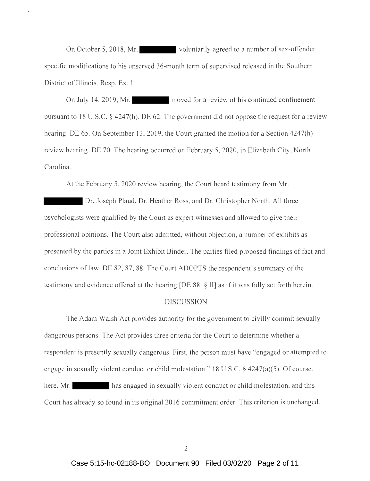On October 5, 2018, Mr. voluntarily agreed to a number of sex-offender specific modifications to his unserved 36-month term of supervised released in the Southern District of Illinois. Resp. Ex. 1.

On July 14, 2019, Mr. moved for a review of his continued confinement pursuant to 18 U.S.C. § 4247(h). DE 62. The government did not oppose the request for a review hearing. DE 65. On September 13, 2019, the Court granted the motion for a Section 4247(h) review hearing. DE 70. The hearing occurred on February 5, 2020, in Elizabeth City, North Carolina.

At the February 5, 2020 review hearing, the Court heard testimony from Mr.

Dr. Joseph Plaud, Dr. Heather Ross, and Dr. Christopher North. All three psychologists were qualified by the Court as expert witnesses and allowed to give their professional opinions. The Court also admitted, without objection, a number of exhibits as presented by the parties in a Joint Exhibit Binder. The parties fil ed proposed findings of fact and conclusions of law. DE 82, 87, 88. The Court ADOPTS the respondent's summary of the testimony and evidence offered at the hearing [DE 88,  $\S$  II] as if it was fully set forth herein.

#### DISCUSSION

The Adam Walsh Act provides authority for the government to civilly commit sexually dangerous persons. The Act provides three criteria for the Court to determine whether a respondent is presently sexually dangerous. First, the person must have "engaged or attempted to engage in sexually violent conduct or child molestation." 18 U.S.C.  $\S$  4247(a)(5). Of course, here, Mr. has engaged in sexually violent conduct or child molestation, and this Court has already so found in its original 2016 commitment order. This criterion is unchanged.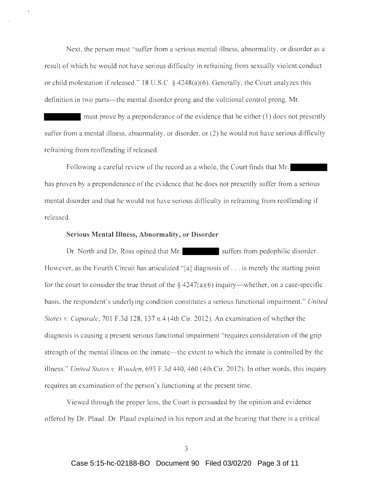Next, the person must "suffer from a serious mental illness, abnormality, or disorder as a result of which he would not have serious difficulty in refraining from sexually violent conduct or child molestation if released." 18 U.S.C.  $\S$  4248(a)(6). Generally, the Court analyzes this definition in two parts—the mental disorder prong and the volitional control prong. Mr.

must prove by a preponderance of the evidence that he either (1) does not presently suffer from a mental illness, abnormality, or disorder, or (2) he would not have serious difficulty refraining from reoffending if released.

Following a careful review of the record as a whole, the Court finds that Mr. has proven by a preponderance of the evidence that he does not presently suffer from a serious mental disorder and that he would not have serious difficulty in refraining from reoffending if released.

#### **Serious Mental Illness, Abnormality, or Disorder**

Dr. North and Dr. Ross opined that Mr. suffers from pedophilic disorder. However, as the Fourth Circuit has articulated " [a] diagnosis of ... is merely the starting point for the court to consider the true thrust of the  $\S$  4247(a)(6) inquiry—whether, on a case-specific basis, the respondent's underlying condition constitutes a serious functional impairment." *United States v. Caporale,* 701 F.3d 128, 137 n.4 (4th Cir. 2012). An examination of whether the diagnosis is causing a present serious functional impairment "requires consideration of the grip strength of the mental illness on the inmate—the extent to which the inmate is controlled by the illness." *United States v. Wooden,* 693 F.3d 440, 460 (4th Cir. 2012). In other words, this inquiry requires an examination of the person's functioning at the present time.

Viewed through the proper lens, the Court is persuaded by the opinion and evidence offered by Dr. Plaud. Dr. Plaud explained in his report and at the hearing that there is a critical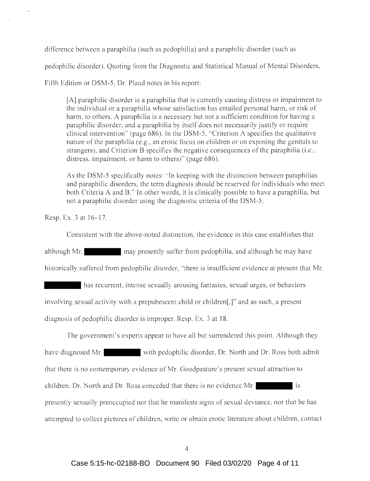difference between a paraphilia (such as pedophilia) and a paraphilic disorder (such as

pedophilic disorder). Quoting from the Diagnostic and Statistical Manual of Mental Disorders,

Fifth Edition or DSM-5, Dr. Plaud notes in his report:

[A] paraphilic disorder is a paraphilia that is currently causing distress or impairment to the individual or a paraphilia whose satisfaction has entailed personal harm, or risk of harm, to others. A paraphilia is a necessary but not a sufficient condition for having a paraphilic disorder, and a paraphilia by itself does not necessarily justify or require clinical intervention" (page 686). In the DSM-5 , "Criterion A specifies the qualitative nature of the paraphilia (e.g., an erotic focus on children or on exposing the genitals to strangers), and Criterion B specifies the negative consequences of the paraphilia (i.e. , distress, impairment, or harm to others)" (page 686).

As the DSM-5 specifically notes: " In keeping with the distinction between paraphilias and paraphilic disorders, the term diagnosis should be reserved for individuals who meet both Criteria A and B." In other words, it is clinically possible to have a paraphilia, but not a paraphilic disorder using the diagnostic criteria of the DSM-5.

Resp. Ex. 3 at 16–17.

Consistent with the above-noted distinction, the evidence in this case establishes that

although Mr. may presently suffer from pedophilia, and although he may have historically suffered from pedophilic disorder, "there is insufficient evidence at present that Mr.

has recurrent, intense sexually arousing fantasies, sexual urges, or behaviors involving sexual activity with a prepubescent child or children[,]" and as such, a present diagnosis of pedophilic disorder is improper. Resp. Ex. 3 at 18.

The government's experts appear to have all but surrendered this point. Although they have diagnosed Mr. with pedophilic disorder, Dr. North and Dr. Ross both admit that there is no contemporary evidence of Mr. Good pasture's present sexual attraction to children. Dr. North and Dr. Ross conceded that there is no evidence Mr. is presently sexually preoccupied nor that he manifests signs of sexual deviance, nor that he has attempted to collect pictures of children, write or obtain erotic literature about children, contact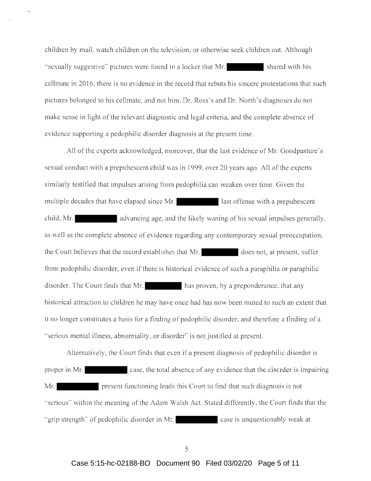children by mail, watch children on the television, or otherwise seek children out. Although "sexually suggestive" pictures were found in a locker that Mr. shared with his cell mate in 20 16, there is no evidence in the record that rebuts his sincere protestations that such pictures belonged to his cellmate, and not him. Dr. Ross's and Dr. North's diagnoses do not make sense in light of the relevant diagnostic and legal criteria, and the complete absence of evidence supporting a pedophilic disorder diagnosis at the present time.

All of the experts acknowledged, moreover, that the last evidence of Mr. Goodpasture's sexual conduct with a prepubescent child was in 1999, over 20 years ago. All of the experts similarly testified that impulses arising from pedophilia can weaken over time. Given the multiple decades that have elapsed since Mr. **If all ast offense with a prepubescent** child, Mr. **A. a**. advancing age, and the likely waning of his sexual impulses generally, as well as the complete absence of evidence regarding any contemporary sexual preoccupation, the Court believes that the record establishes that Mr. does not, at present, suffer from pedophilic disorder, even if there is historical evidence of such a paraphilia or paraphilic disorder. The Court finds that Mr. has proven, by a preponderance, that any historical attraction to children he may have once had has now been muted to such an extent that it no longer constitutes a basis for a finding of pedophilic disorder, and therefore a finding of a "serious mental illness, abnormality, or disorder" is not justified at present.

Alternatively, the Court finds that even if a present diagnosis of pedophilic disorder is proper in Mr. case, the total absence of any evidence that the disorder is impairing Mr. present functioning leads this Court to find that such diagnosis is not "serious" within the meaning of the Adam Walsh Act. Stated differently, the Court finds that the "grip strength" of pedophilic disorder in Mr. case is unquestionably weak at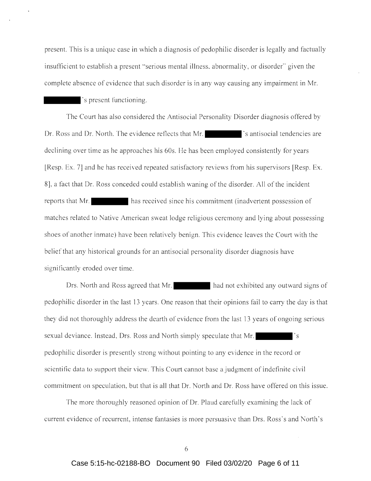present. This is a unique case in which a diagnosis of pedophilic disorder is legally and factually insufficient to establish a present " serious mental illness, abnormality, or disorder" given the complete absence of evidence that such disorder is in any way causing any impairment in Mr.

## 's present functioning.

The Court has also considered the Antisocial Personality Disorder diagnosis offered by Dr. Ross and Dr. North. The evidence reflects that Mr.  $\blacksquare$  is antisocial tendencies are declining over time as he approaches his 60s. He has been employed consistently for years [Resp. Ex. 7] and he has received repeated satisfactory reviews from his supervisors [Resp. Ex. 8], a fact that Dr. Ross conceded could establish waning of the disorder. All of the incident reports that Mr. has received since his commitment (inadvertent possession of matches related to Native American sweat lodge religious ceremony and lying about possessing shoes of another inmate) have been relatively benign. This evidence leaves the Court with the belief that any historical grounds for an antisocial personality disorder diagnosis have significantly eroded over time.

Drs. North and Ross agreed that Mr. had not exhibited any outward signs of pedophilic disorder in the last 13 years. One reason that their opinions fail to carry the day is that they did not thoroughly address the dearth of evidence from the last 13 years of ongoing serious sexual deviance. Instead, Drs. Ross and North simply speculate that Mr. pedophilic disorder is presently strong without pointing to any evidence in the record or scientific data to support their view. This Court cannot base a judgment of indefinite civil commitment on speculation, but that is all that Dr. North and Dr. Ross have offered on this issue.

The more thoroughly reasoned opinion of Dr. Plaud carefully examining the lack of current evidence of recurrent, intense fantasies is more persuasive than Drs. Ross's and North's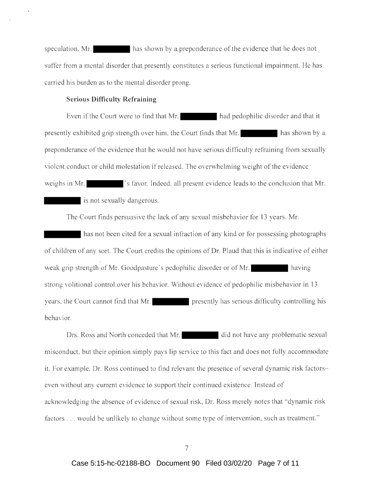speculation. Mr. has shown by a preponderance of the evidence that he does not suffer from a mental disorder that presently constitutes a serious functional impairment. He has carried his burden as to the mental disorder prong.

## **Serious Difficulty Refraining**

Even if the Court were to find that Mr. had pedophilic disorder and that it presently exhibited grip strength over him, the Court finds that Mr. has shown by a preponderance of the evidence that he would not have serious difficulty refraining from sexually violent conduct or child molestation if released. The overwhelming weight of the evidence weighs in Mr.  $\blacksquare$  's favor. Indeed, all present evidence leads to the conclusion that Mr. is not sexually dangerous.

The Court finds persuasive the lack of any sexual misbehavior for 13 years. Mr.

has not been cited for a sexual infraction of any kind or for possessing photographs of children of any sort. The Court credits the opinions of Dr. Plaud that this is indicative of either weak grip strength of Mr. Goodpasture's pedophilic disorder or of Mr. strong volitional control over his behavior. Without evidence of pedophilic misbehavior in 13 years, the Court cannot find that Mr. **presently has serious difficulty controlling his** behavior.

Drs. Ross and North conceded that Mr. did not have any problematic sexual misconduct, but their opinion simply pays lip service to this fact and does not fully accommodate it. For example, Dr. Ross continued to find relevant the presence of several dynamic risk factorseven without any current evidence to support their continued existence. Instead of acknowledging the absence of evidence of sexual risk, Dr. Ross merely notes that "dynamic risk factors ... would be unlikely to change without some type of intervention, such as treatment. "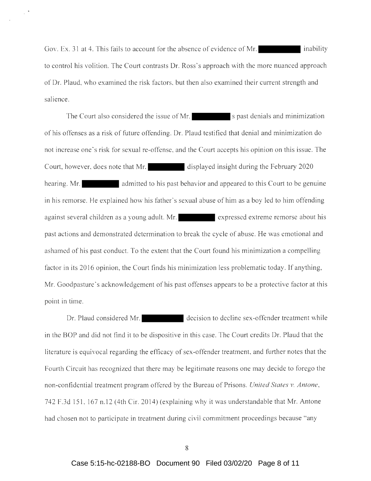Gov. Ex. 31 at 4. This fails to account for the absence of evidence of Mr. to control his volition. The Court contrasts Dr. Ross's approach with the more nuanced approach of Dr. Plaud, who examined the risk factors, but then also examined their current strength and salience.

The Court also considered the issue of Mr.  $\blacksquare$  s past denials and minimization of his offenses as a risk of future offending. Dr. Plaud testified that denial and minimization do not increase one's risk for sexual re-offense, and the Court accepts his opinion on this issue. The Court, however, does note that Mr. displayed insight during the February 2020 hearing. Mr. **and admitted to his past behavior and appeared to this Court to be genuine** in his remorse. He explained how his father's sexual abuse of him as a boy led to him offending against several children as a young adult. Mr. expressed extreme remorse about his past actions and demonstrated determination to break the cycle of abuse. He was emotional and ashamed of his past conduct. To the extent that the Court found his minimization a compelling factor in its 2016 opinion, the Court finds his minimization less problematic today. If anything, Mr. Goodpasture's acknowledgement of his past offenses appears to be a protective factor at this point in time.

Dr. Plaud considered Mr. decision to decline sex-offender treatment while in the BOP and did not find it to be dispositive in this case. The Court credits Dr. Plaud that the literature is equivocal regarding the efficacy of sex-offender treatment, and further notes that the Fourth Circuit has recognized that there may be legitimate reasons one may decide to forego the non-confidential treatment program offered by the Bureau of Prisons. *United States v. Antone,*  742 F.3d 151 , 167 n.12 (4th Cir. 2014) (explaining why it was understandable that Mr. Antone had chosen not to participate in treatment during civil commitment proceedings because "any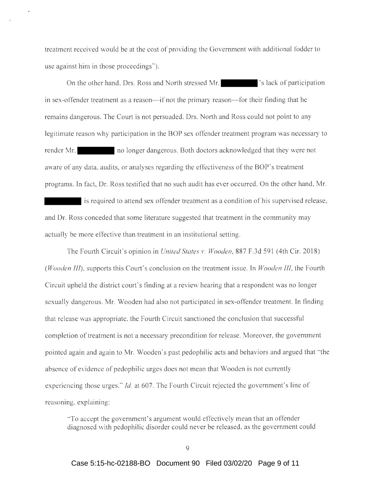treatment received would be at the cost of providing the Government with additional fodder to use against him in those proceedings").

On the other hand, Drs. Ross and North stressed Mr. 's lack of participation in sex-offender treatment as a reason—if not the primary reason—for their finding that he remains dangerous. The Court is not persuaded. Drs. North and Ross could not point to any legitimate reason why participation in the BOP sex offender treatment program was necessary to render Mr. no longer dangerous. Both doctors acknowledged that they were not aware of any data, audits, or analyses regarding the effectiveness of the BOP 's treatment programs. In fact, Dr. Ross testified that no such audit has ever occurred. On the other hand, Mr.

is required to attend sex offender treatment as a condition of his supervised release, and Dr. Ross conceded that some literature suggested that treatment in the community may actually be more effective than treatment in an institutional setting.

The Fourth Circuit's opinion in *United States v. Wooden*, 887 F.3d 591 (4th Cir. 2018) *(Wooden III),* supports this Court's conclusion on the treatment issue. In *Wooden 111,* the Fourth Circuit upheld the district court's finding at a review hearing that a respondent was no longer sexually dangerous. Mr. Wooden had also not participated in sex-offender treatment. In finding that release was appropriate, the Fourth Circuit sanctioned the conclusion that successful completion of treatment is not a necessary precondition for release. Moreover, the government pointed again and again to Mr. Wooden's past pedophilic acts and behaviors and argued that "the absence of evidence of pedophilic urges does not mean that Wooden is not currently experiencing those urges." *Id.* at 607. The Fourth Circuit rejected the government's line of reasoning, explaining:

"To accept the government's argument would effectively mean that an offender diagnosed with pedophilic disorder could never be released, as the government could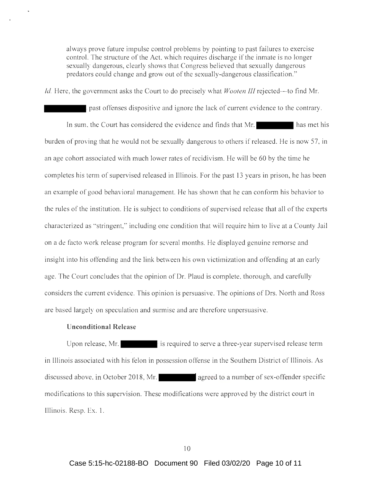always prove future impulse control problems by pointing to past failures to exercise control. The structure of the Act, which requires discharge if the inmate is no longer sexually dangerous, clearly shows that Congress believed that sexually dangerous predators could change and grow out of the sexually-dangerous classification."

*Id.* Here, the government asks the Court to do precisely what *Wooten III* rejected—to find Mr.

past offenses dispositive and ignore the lack of current evidence to the contrary. In sum, the Court has considered the evidence and finds that Mr. has met his burden of proving that he would not be sexually dangerous to others if released. He is now 57, in an age cohort associated with much lower rates of recidivism. He will be 60 by the time he completes his term of supervised released in Illinois. For the past 13 years in prison, he has been an example of good behavioral management. He has shown that he can conform his behavior to the rules of the institution. He is subject to conditions of supervised release that all of the experts characterized as " stringent," including one condition that will require him to live at a County Jail on a de facto work release program for several months. He displayed genuine remorse and insight into his offending and the link between his own victimization and offending at an early age. The Court concludes that the opinion of Dr. Plaud is complete, thorough, and carefully considers the current evidence. This opinion is persuasive. The opinions of Drs. North and Ross are based largely on speculation and surmise and are therefore unpersuasive.

### **Unconditional Release**

Upon release, Mr. **is required to serve a three-year supervised release term** in Illinois associated with his felon in possession offense in the Southern District of Illinois. As discussed above, in October 2018, Mr. agreed to a number of sex-offender specific modifications to this supervision. These modifications were approved by the district court in Illinois. Resp. Ex. l .